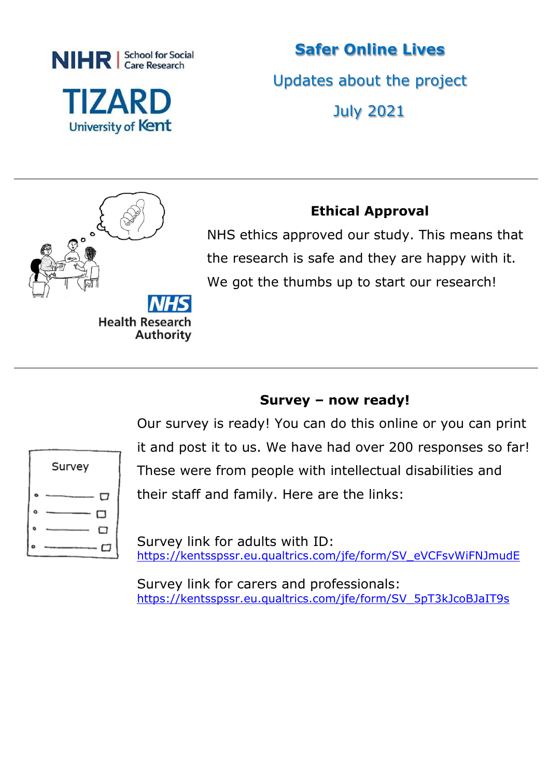

**Safer Online Lives** Updates about the project July 2021



## **Ethical Approval**

NHS ethics approved our study. This means that the research is safe and they are happy with it. We got the thumbs up to start our research!

## **Survey – now ready!**

| Survey |
|--------|
| ロ      |
| □      |
| □      |
| J      |

Our survey is ready! You can do this online or you can print it and post it to us. We have had over 200 responses so far! These were from people with intellectual disabilities and their staff and family. Here are the links:

Survey link for adults with ID: [https://kentsspssr.eu.qualtrics.com/jfe/form/SV\\_eVCFsvWiFNJmudE](https://gbr01.safelinks.protection.outlook.com/?url=https%3A%2F%2Fkentsspssr.eu.qualtrics.com%2Fjfe%2Fform%2FSV_eVCFsvWiFNJmudE&data=04%7C01%7CChris.Gorman%40bromley.gov.uk%7Ca430444bcd514a90db9108d930d68278%7C8cc3d50b245a4639bab48b879ac9838c%7C0%7C0%7C637594520152606314%7CUnknown%7CTWFpbGZsb3d8eyJWIjoiMC4wLjAwMDAiLCJQIjoiV2luMzIiLCJBTiI6Ik1haWwiLCJXVCI6Mn0%3D%7C1000&sdata=%2BhuC5Sa1ZwhGuwEgW%2BVAn%2FbByUZZqkW8BgcS%2F78Ozug%3D&reserved=0)

Survey link for carers and professionals: [https://kentsspssr.eu.qualtrics.com/jfe/form/SV\\_5pT3kJcoBJaIT9s](https://gbr01.safelinks.protection.outlook.com/?url=https%3A%2F%2Fkentsspssr.eu.qualtrics.com%2Fjfe%2Fform%2FSV_5pT3kJcoBJaIT9s&data=04%7C01%7CChris.Gorman%40bromley.gov.uk%7Ca430444bcd514a90db9108d930d68278%7C8cc3d50b245a4639bab48b879ac9838c%7C0%7C0%7C637594520152611291%7CUnknown%7CTWFpbGZsb3d8eyJWIjoiMC4wLjAwMDAiLCJQIjoiV2luMzIiLCJBTiI6Ik1haWwiLCJXVCI6Mn0%3D%7C1000&sdata=%2FgDXSFc2krGxE5wvMu6%2BTL5XbdH%2Bz0WdAOrbz0JlkYU%3D&reserved=0)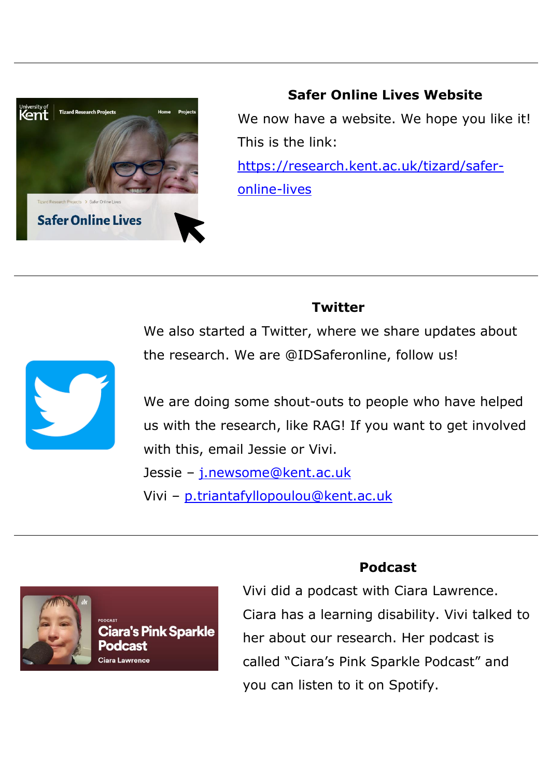

**Safer Online Lives Website** We now have a website. We hope you like it! This is the link: [https://research.kent.ac.uk/tizard/safer](https://research.kent.ac.uk/tizard/safer-online-lives)[online-lives](https://research.kent.ac.uk/tizard/safer-online-lives)

#### **Twitter**

We also started a Twitter, where we share updates about the research. We are @IDSaferonline, follow us!



We are doing some shout-outs to people who have helped us with the research, like RAG! If you want to get involved with this, email Jessie or Vivi. Jessie - [j.newsome@kent.ac.uk](mailto:j.newsome@kent.ac.uk)

Vivi – [p.triantafyllopoulou@kent.ac.uk](mailto:p.triantafyllopoulou@kent.ac.uk)



Ciara's Pink Sparkle Ciara Lawrence

#### **Podcast**

Vivi did a podcast with Ciara Lawrence. Ciara has a learning disability. Vivi talked to her about our research. Her podcast is called "Ciara's Pink Sparkle Podcast" and you can listen to it on Spotify.